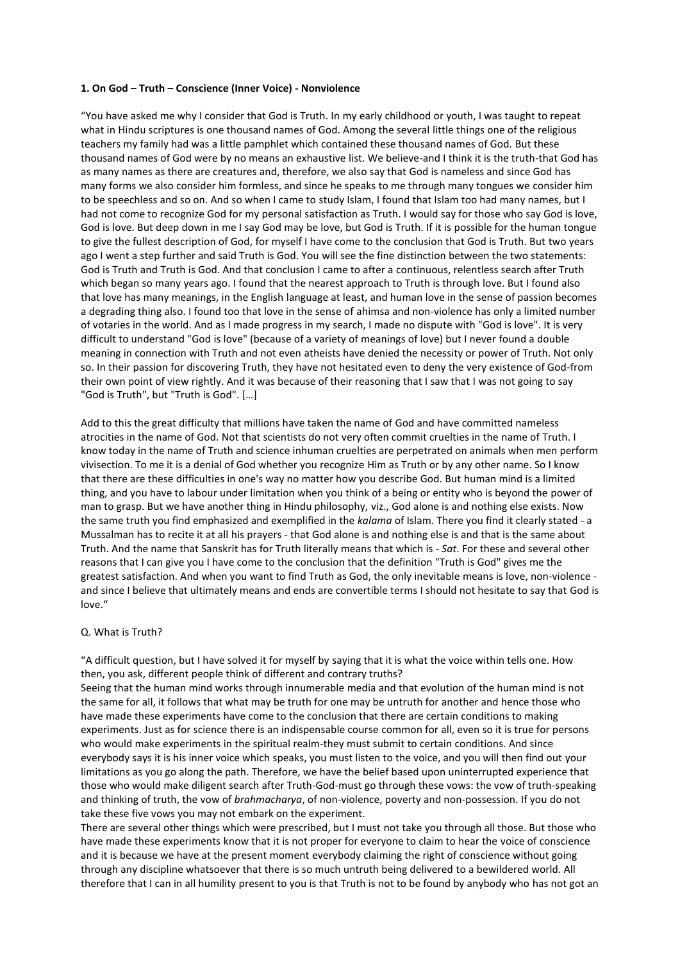#### **1. On God – Truth – Conscience (Inner Voice) - Nonviolence**

"You have asked me why I consider that God is Truth. In my early childhood or youth, I was taught to repeat what in Hindu scriptures is one thousand names of God. Among the several little things one of the religious teachers my family had was a little pamphlet which contained these thousand names of God. But these thousand names of God were by no means an exhaustive list. We believe-and I think it is the truth-that God has as many names as there are creatures and, therefore, we also say that God is nameless and since God has many forms we also consider him formless, and since he speaks to me through many tongues we consider him to be speechless and so on. And so when I came to study Islam, I found that Islam too had many names, but I had not come to recognize God for my personal satisfaction as Truth. I would say for those who say God is love, God is love. But deep down in me I say God may be love, but God is Truth. If it is possible for the human tongue to give the fullest description of God, for myself I have come to the conclusion that God is Truth. But two years ago I went a step further and said Truth is God. You will see the fine distinction between the two statements: God is Truth and Truth is God. And that conclusion I came to after a continuous, relentless search after Truth which began so many years ago. I found that the nearest approach to Truth is through love. But I found also that love has many meanings, in the English language at least, and human love in the sense of passion becomes a degrading thing also. I found too that love in the sense of ahimsa and non-violence has only a limited number of votaries in the world. And as I made progress in my search, I made no dispute with "God is love". It is very difficult to understand "God is love" (because of a variety of meanings of love) but I never found a double meaning in connection with Truth and not even atheists have denied the necessity or power of Truth. Not only so. In their passion for discovering Truth, they have not hesitated even to deny the very existence of God-from their own point of view rightly. And it was because of their reasoning that I saw that I was not going to say "God is Truth", but "Truth is God". […]

Add to this the great difficulty that millions have taken the name of God and have committed nameless atrocities in the name of God. Not that scientists do not very often commit cruelties in the name of Truth. I know today in the name of Truth and science inhuman cruelties are perpetrated on animals when men perform vivisection. To me it is a denial of God whether you recognize Him as Truth or by any other name. So I know that there are these difficulties in one's way no matter how you describe God. But human mind is a limited thing, and you have to labour under limitation when you think of a being or entity who is beyond the power of man to grasp. But we have another thing in Hindu philosophy, viz., God alone is and nothing else exists. Now the same truth you find emphasized and exemplified in the *kalama* of Islam. There you find it clearly stated - a Mussalman has to recite it at all his prayers - that God alone is and nothing else is and that is the same about Truth. And the name that Sanskrit has for Truth literally means that which is - *Sat*. For these and several other reasons that I can give you I have come to the conclusion that the definition "Truth is God" gives me the greatest satisfaction. And when you want to find Truth as God, the only inevitable means is love, non-violence and since I believe that ultimately means and ends are convertible terms I should not hesitate to say that God is love."

#### Q. What is Truth?

"A difficult question, but I have solved it for myself by saying that it is what the voice within tells one. How then, you ask, different people think of different and contrary truths?

Seeing that the human mind works through innumerable media and that evolution of the human mind is not the same for all, it follows that what may be truth for one may be untruth for another and hence those who have made these experiments have come to the conclusion that there are certain conditions to making experiments. Just as for science there is an indispensable course common for all, even so it is true for persons who would make experiments in the spiritual realm-they must submit to certain conditions. And since everybody says it is his inner voice which speaks, you must listen to the voice, and you will then find out your limitations as you go along the path. Therefore, we have the belief based upon uninterrupted experience that those who would make diligent search after Truth-God-must go through these vows: the vow of truth-speaking and thinking of truth, the vow of *brahmacharya*, of non-violence, poverty and non-possession. If you do not take these five vows you may not embark on the experiment.

There are several other things which were prescribed, but I must not take you through all those. But those who have made these experiments know that it is not proper for everyone to claim to hear the voice of conscience and it is because we have at the present moment everybody claiming the right of conscience without going through any discipline whatsoever that there is so much untruth being delivered to a bewildered world. All therefore that I can in all humility present to you is that Truth is not to be found by anybody who has not got an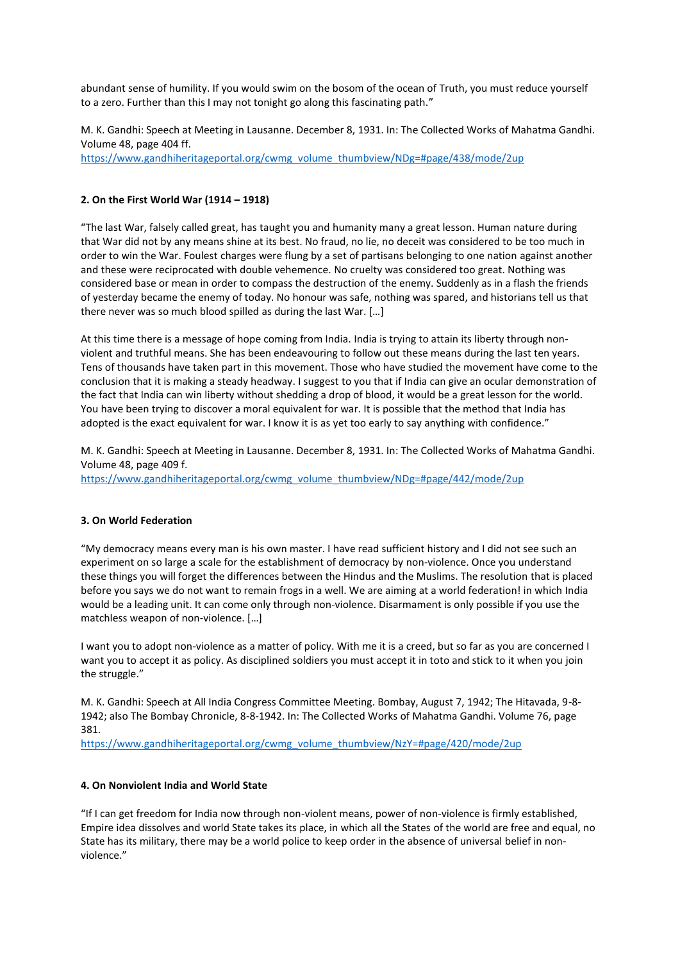abundant sense of humility. If you would swim on the bosom of the ocean of Truth, you must reduce yourself to a zero. Further than this I may not tonight go along this fascinating path."

M. K. Gandhi: Speech at Meeting in Lausanne. December 8, 1931. In: The Collected Works of Mahatma Gandhi. Volume 48, page 404 ff.

[https://www.gandhiheritageportal.org/cwmg\\_volume\\_thumbview/NDg=#page/438/mode/2up](https://www.gandhiheritageportal.org/cwmg_volume_thumbview/NDg=#page/438/mode/2up)

# **2. On the First World War (1914 – 1918)**

"The last War, falsely called great, has taught you and humanity many a great lesson. Human nature during that War did not by any means shine at its best. No fraud, no lie, no deceit was considered to be too much in order to win the War. Foulest charges were flung by a set of partisans belonging to one nation against another and these were reciprocated with double vehemence. No cruelty was considered too great. Nothing was considered base or mean in order to compass the destruction of the enemy. Suddenly as in a flash the friends of yesterday became the enemy of today. No honour was safe, nothing was spared, and historians tell us that there never was so much blood spilled as during the last War. […]

At this time there is a message of hope coming from India. India is trying to attain its liberty through nonviolent and truthful means. She has been endeavouring to follow out these means during the last ten years. Tens of thousands have taken part in this movement. Those who have studied the movement have come to the conclusion that it is making a steady headway. I suggest to you that if India can give an ocular demonstration of the fact that India can win liberty without shedding a drop of blood, it would be a great lesson for the world. You have been trying to discover a moral equivalent for war. It is possible that the method that India has adopted is the exact equivalent for war. I know it is as yet too early to say anything with confidence."

M. K. Gandhi: Speech at Meeting in Lausanne. December 8, 1931. In: The Collected Works of Mahatma Gandhi. Volume 48, page 409 f.

[https://www.gandhiheritageportal.org/cwmg\\_volume\\_thumbview/NDg=#page/442/mode/2up](https://www.gandhiheritageportal.org/cwmg_volume_thumbview/NDg=#page/442/mode/2up)

### **3. On World Federation**

"My democracy means every man is his own master. I have read sufficient history and I did not see such an experiment on so large a scale for the establishment of democracy by non-violence. Once you understand these things you will forget the differences between the Hindus and the Muslims. The resolution that is placed before you says we do not want to remain frogs in a well. We are aiming at a world federation! in which India would be a leading unit. It can come only through non-violence. Disarmament is only possible if you use the matchless weapon of non-violence. […]

I want you to adopt non-violence as a matter of policy. With me it is a creed, but so far as you are concerned I want you to accept it as policy. As disciplined soldiers you must accept it in toto and stick to it when you join the struggle."

M. K. Gandhi: Speech at All India Congress Committee Meeting. Bombay, August 7, 1942; The Hitavada, 9-8- 1942; also The Bombay Chronicle, 8-8-1942. In: The Collected Works of Mahatma Gandhi. Volume 76, page 381.

[https://www.gandhiheritageportal.org/cwmg\\_volume\\_thumbview/NzY=#page/420/mode/2up](https://www.gandhiheritageportal.org/cwmg_volume_thumbview/NzY=#page/420/mode/2up)

### **4. On Nonviolent India and World State**

"If I can get freedom for India now through non-violent means, power of non-violence is firmly established, Empire idea dissolves and world State takes its place, in which all the States of the world are free and equal, no State has its military, there may be a world police to keep order in the absence of universal belief in nonviolence."